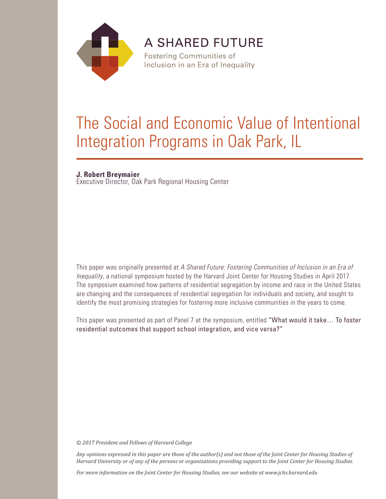

**A SHARED FUTURE** 

**Fostering Communities of** Inclusion in an Era of Inequality

# The Social and Economic Value of Intentional Integration Programs in Oak Park, IL

# **J. Robert Breymaier**

Executive Director, Oak Park Regional Housing Center

This paper was originally presented at *A Shared Future: Fostering Communities of Inclusion in an Era of Inequality*, a national symposium hosted by the Harvard Joint Center for Housing Studies in April 2017. The symposium examined how patterns of residential segregation by income and race in the United States are changing and the consequences of residential segregation for individuals and society, and sought to identify the most promising strategies for fostering more inclusive communities in the years to come.

This paper was presented as part of Panel 7 at the symposium, entitled "What would it take… To foster residential outcomes that support school integration, and vice versa?"

*© 2017 President and Fellows of Harvard College*

*Any opinions expressed in this paper are those of the author(s) and not those of the Joint Center for Housing Studies of Harvard University or of any of the persons or organizations providing support to the Joint Center for Housing Studies.* 

*For more information on the Joint Center for Housing Studies, see our website at www.jchs.harvard.edu*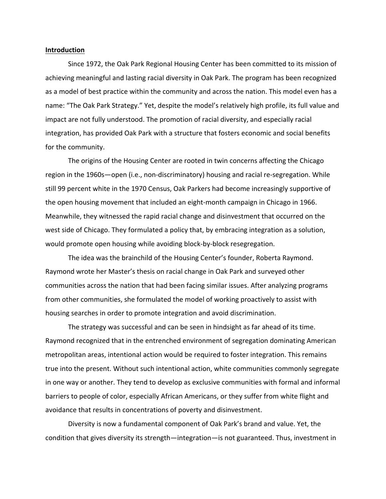#### **Introduction**

Since 1972, the Oak Park Regional Housing Center has been committed to its mission of achieving meaningful and lasting racial diversity in Oak Park. The program has been recognized as a model of best practice within the community and across the nation. This model even has a name: "The Oak Park Strategy." Yet, despite the model's relatively high profile, its full value and impact are not fully understood. The promotion of racial diversity, and especially racial integration, has provided Oak Park with a structure that fosters economic and social benefits for the community.

The origins of the Housing Center are rooted in twin concerns affecting the Chicago region in the 1960s—open (i.e., non-discriminatory) housing and racial re-segregation. While still 99 percent white in the 1970 Census, Oak Parkers had become increasingly supportive of the open housing movement that included an eight-month campaign in Chicago in 1966. Meanwhile, they witnessed the rapid racial change and disinvestment that occurred on the west side of Chicago. They formulated a policy that, by embracing integration as a solution, would promote open housing while avoiding block-by-block resegregation.

The idea was the brainchild of the Housing Center's founder, Roberta Raymond. Raymond wrote her Master's thesis on racial change in Oak Park and surveyed other communities across the nation that had been facing similar issues. After analyzing programs from other communities, she formulated the model of working proactively to assist with housing searches in order to promote integration and avoid discrimination.

The strategy was successful and can be seen in hindsight as far ahead of its time. Raymond recognized that in the entrenched environment of segregation dominating American metropolitan areas, intentional action would be required to foster integration. This remains true into the present. Without such intentional action, white communities commonly segregate in one way or another. They tend to develop as exclusive communities with formal and informal barriers to people of color, especially African Americans, or they suffer from white flight and avoidance that results in concentrations of poverty and disinvestment.

Diversity is now a fundamental component of Oak Park's brand and value. Yet, the condition that gives diversity its strength—integration—is not guaranteed. Thus, investment in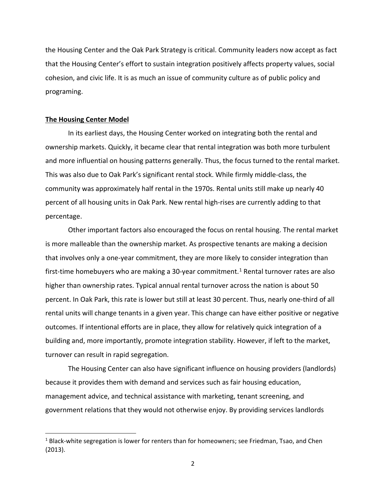the Housing Center and the Oak Park Strategy is critical. Community leaders now accept as fact that the Housing Center's effort to sustain integration positively affects property values, social cohesion, and civic life. It is as much an issue of community culture as of public policy and programing.

# **The Housing Center Model**

In its earliest days, the Housing Center worked on integrating both the rental and ownership markets. Quickly, it became clear that rental integration was both more turbulent and more influential on housing patterns generally. Thus, the focus turned to the rental market. This was also due to Oak Park's significant rental stock. While firmly middle-class, the community was approximately half rental in the 1970s. Rental units still make up nearly 40 percent of all housing units in Oak Park. New rental high-rises are currently adding to that percentage.

Other important factors also encouraged the focus on rental housing. The rental market is more malleable than the ownership market. As prospective tenants are making a decision that involves only a one-year commitment, they are more likely to consider integration than first-time homebuyers who are making a 30-year commitment. [1](#page-3-0) Rental turnover rates are also higher than ownership rates. Typical annual rental turnover across the nation is about 50 percent. In Oak Park, this rate is lower but still at least 30 percent. Thus, nearly one-third of all rental units will change tenants in a given year. This change can have either positive or negative outcomes. If intentional efforts are in place, they allow for relatively quick integration of a building and, more importantly, promote integration stability. However, if left to the market, turnover can result in rapid segregation.

The Housing Center can also have significant influence on housing providers (landlords) because it provides them with demand and services such as fair housing education, management advice, and technical assistance with marketing, tenant screening, and government relations that they would not otherwise enjoy. By providing services landlords

<span id="page-3-0"></span> $<sup>1</sup>$  Black-white segregation is lower for renters than for homeowners; see Friedman, Tsao, and Chen</sup> (2013).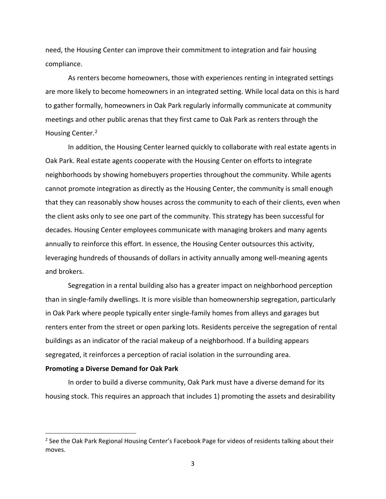need, the Housing Center can improve their commitment to integration and fair housing compliance.

As renters become homeowners, those with experiences renting in integrated settings are more likely to become homeowners in an integrated setting. While local data on this is hard to gather formally, homeowners in Oak Park regularly informally communicate at community meetings and other public arenas that they first came to Oak Park as renters through the Housing Center.<sup>[2](#page-4-0)</sup>

In addition, the Housing Center learned quickly to collaborate with real estate agents in Oak Park. Real estate agents cooperate with the Housing Center on efforts to integrate neighborhoods by showing homebuyers properties throughout the community. While agents cannot promote integration as directly as the Housing Center, the community is small enough that they can reasonably show houses across the community to each of their clients, even when the client asks only to see one part of the community. This strategy has been successful for decades. Housing Center employees communicate with managing brokers and many agents annually to reinforce this effort. In essence, the Housing Center outsources this activity, leveraging hundreds of thousands of dollars in activity annually among well-meaning agents and brokers.

Segregation in a rental building also has a greater impact on neighborhood perception than in single-family dwellings. It is more visible than homeownership segregation, particularly in Oak Park where people typically enter single-family homes from alleys and garages but renters enter from the street or open parking lots. Residents perceive the segregation of rental buildings as an indicator of the racial makeup of a neighborhood. If a building appears segregated, it reinforces a perception of racial isolation in the surrounding area.

# **Promoting a Diverse Demand for Oak Park**

In order to build a diverse community, Oak Park must have a diverse demand for its housing stock. This requires an approach that includes 1) promoting the assets and desirability

<span id="page-4-0"></span> $2$  See the Oak Park Regional Housing Center's Facebook Page for videos of residents talking about their moves.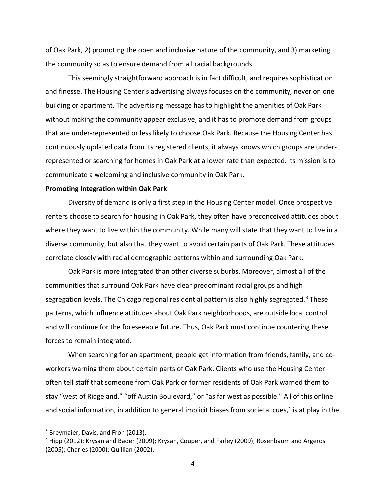of Oak Park, 2) promoting the open and inclusive nature of the community, and 3) marketing the community so as to ensure demand from all racial backgrounds.

This seemingly straightforward approach is in fact difficult, and requires sophistication and finesse. The Housing Center's advertising always focuses on the community, never on one building or apartment. The advertising message has to highlight the amenities of Oak Park without making the community appear exclusive, and it has to promote demand from groups that are under-represented or less likely to choose Oak Park. Because the Housing Center has continuously updated data from its registered clients, it always knows which groups are underrepresented or searching for homes in Oak Park at a lower rate than expected. Its mission is to communicate a welcoming and inclusive community in Oak Park.

#### **Promoting Integration within Oak Park**

Diversity of demand is only a first step in the Housing Center model. Once prospective renters choose to search for housing in Oak Park, they often have preconceived attitudes about where they want to live within the community. While many will state that they want to live in a diverse community, but also that they want to avoid certain parts of Oak Park. These attitudes correlate closely with racial demographic patterns within and surrounding Oak Park.

Oak Park is more integrated than other diverse suburbs. Moreover, almost all of the communities that surround Oak Park have clear predominant racial groups and high segregation levels. The Chicago regional residential pattern is also highly segregated.<sup>[3](#page-5-0)</sup> These patterns, which influence attitudes about Oak Park neighborhoods, are outside local control and will continue for the foreseeable future. Thus, Oak Park must continue countering these forces to remain integrated.

When searching for an apartment, people get information from friends, family, and coworkers warning them about certain parts of Oak Park. Clients who use the Housing Center often tell staff that someone from Oak Park or former residents of Oak Park warned them to stay "west of Ridgeland," "off Austin Boulevard," or "as far west as possible." All of this online and social information, in addition to general implicit biases from societal cues,<sup>[4](#page-5-1)</sup> is at play in the

<span id="page-5-0"></span><sup>&</sup>lt;sup>3</sup> Breymaier, Davis, and Fron (2013).

<span id="page-5-1"></span><sup>4</sup> Hipp (2012); Krysan and Bader (2009); Krysan, Couper, and Farley (2009); Rosenbaum and Argeros (2005); Charles (2000); Quillian (2002).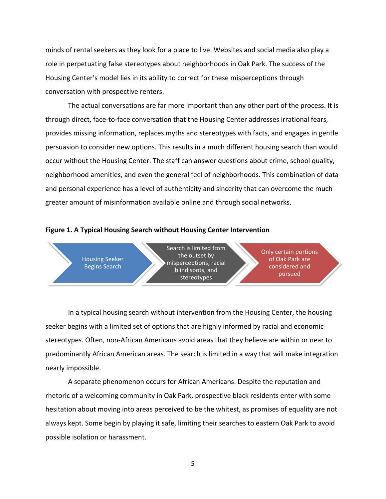minds of rental seekers as they look for a place to live. Websites and social media also play a role in perpetuating false stereotypes about neighborhoods in Oak Park. The success of the Housing Center's model lies in its ability to correct for these misperceptions through conversation with prospective renters.

The actual conversations are far more important than any other part of the process. It is through direct, face-to-face conversation that the Housing Center addresses irrational fears, provides missing information, replaces myths and stereotypes with facts, and engages in gentle persuasion to consider new options. This results in a much different housing search than would occur without the Housing Center. The staff can answer questions about crime, school quality, neighborhood amenities, and even the general feel of neighborhoods. This combination of data and personal experience has a level of authenticity and sincerity that can overcome the much greater amount of misinformation available online and through social networks.



## **Figure 1. A Typical Housing Search without Housing Center Intervention**

In a typical housing search without intervention from the Housing Center, the housing seeker begins with a limited set of options that are highly informed by racial and economic stereotypes. Often, non-African Americans avoid areas that they believe are within or near to predominantly African American areas. The search is limited in a way that will make integration nearly impossible.

A separate phenomenon occurs for African Americans. Despite the reputation and rhetoric of a welcoming community in Oak Park, prospective black residents enter with some hesitation about moving into areas perceived to be the whitest, as promises of equality are not always kept. Some begin by playing it safe, limiting their searches to eastern Oak Park to avoid possible isolation or harassment.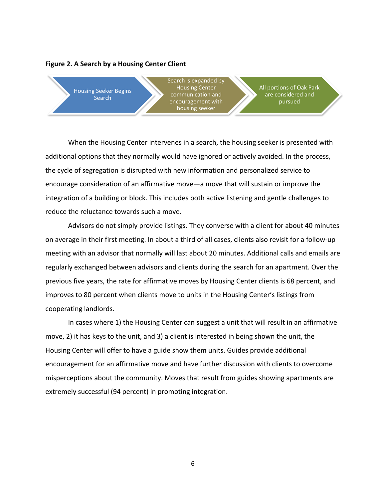# **Figure 2. A Search by a Housing Center Client**



When the Housing Center intervenes in a search, the housing seeker is presented with additional options that they normally would have ignored or actively avoided. In the process, the cycle of segregation is disrupted with new information and personalized service to encourage consideration of an affirmative move—a move that will sustain or improve the integration of a building or block. This includes both active listening and gentle challenges to reduce the reluctance towards such a move.

Advisors do not simply provide listings. They converse with a client for about 40 minutes on average in their first meeting. In about a third of all cases, clients also revisit for a follow-up meeting with an advisor that normally will last about 20 minutes. Additional calls and emails are regularly exchanged between advisors and clients during the search for an apartment. Over the previous five years, the rate for affirmative moves by Housing Center clients is 68 percent, and improves to 80 percent when clients move to units in the Housing Center's listings from cooperating landlords.

In cases where 1) the Housing Center can suggest a unit that will result in an affirmative move, 2) it has keys to the unit, and 3) a client is interested in being shown the unit, the Housing Center will offer to have a guide show them units. Guides provide additional encouragement for an affirmative move and have further discussion with clients to overcome misperceptions about the community. Moves that result from guides showing apartments are extremely successful (94 percent) in promoting integration.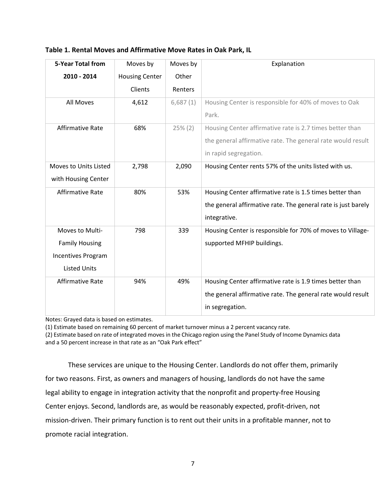|  | Table 1. Rental Moves and Affirmative Move Rates in Oak Park, IL |
|--|------------------------------------------------------------------|
|--|------------------------------------------------------------------|

| <b>5-Year Total from</b> | Moves by              | Moves by   | Explanation                                                   |
|--------------------------|-----------------------|------------|---------------------------------------------------------------|
| 2010 - 2014              | <b>Housing Center</b> | Other      |                                                               |
|                          | Clients               | Renters    |                                                               |
| All Moves                | 4,612                 | 6,687(1)   | Housing Center is responsible for 40% of moves to Oak         |
|                          |                       |            | Park.                                                         |
| <b>Affirmative Rate</b>  | 68%                   | $25\% (2)$ | Housing Center affirmative rate is 2.7 times better than      |
|                          |                       |            | the general affirmative rate. The general rate would result   |
|                          |                       |            | in rapid segregation.                                         |
| Moves to Units Listed    | 2,798                 | 2,090      | Housing Center rents 57% of the units listed with us.         |
| with Housing Center      |                       |            |                                                               |
| <b>Affirmative Rate</b>  | 80%                   | 53%        | Housing Center affirmative rate is 1.5 times better than      |
|                          |                       |            | the general affirmative rate. The general rate is just barely |
|                          |                       |            | integrative.                                                  |
| Moves to Multi-          | 798                   | 339        | Housing Center is responsible for 70% of moves to Village-    |
| <b>Family Housing</b>    |                       |            | supported MFHIP buildings.                                    |
| Incentives Program       |                       |            |                                                               |
| <b>Listed Units</b>      |                       |            |                                                               |
| <b>Affirmative Rate</b>  | 94%                   | 49%        | Housing Center affirmative rate is 1.9 times better than      |
|                          |                       |            | the general affirmative rate. The general rate would result   |
|                          |                       |            | in segregation.                                               |

Notes: Grayed data is based on estimates.

(1) Estimate based on remaining 60 percent of market turnover minus a 2 percent vacancy rate.

(2) Estimate based on rate of integrated moves in the Chicago region using the Panel Study of Income Dynamics data and a 50 percent increase in that rate as an "Oak Park effect"

These services are unique to the Housing Center. Landlords do not offer them, primarily for two reasons. First, as owners and managers of housing, landlords do not have the same legal ability to engage in integration activity that the nonprofit and property-free Housing Center enjoys. Second, landlords are, as would be reasonably expected, profit-driven, not mission-driven. Their primary function is to rent out their units in a profitable manner, not to promote racial integration.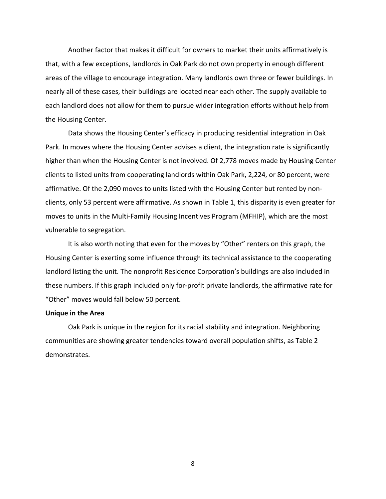Another factor that makes it difficult for owners to market their units affirmatively is that, with a few exceptions, landlords in Oak Park do not own property in enough different areas of the village to encourage integration. Many landlords own three or fewer buildings. In nearly all of these cases, their buildings are located near each other. The supply available to each landlord does not allow for them to pursue wider integration efforts without help from the Housing Center.

Data shows the Housing Center's efficacy in producing residential integration in Oak Park. In moves where the Housing Center advises a client, the integration rate is significantly higher than when the Housing Center is not involved. Of 2,778 moves made by Housing Center clients to listed units from cooperating landlords within Oak Park, 2,224, or 80 percent, were affirmative. Of the 2,090 moves to units listed with the Housing Center but rented by nonclients, only 53 percent were affirmative. As shown in Table 1, this disparity is even greater for moves to units in the Multi-Family Housing Incentives Program (MFHIP), which are the most vulnerable to segregation.

It is also worth noting that even for the moves by "Other" renters on this graph, the Housing Center is exerting some influence through its technical assistance to the cooperating landlord listing the unit. The nonprofit Residence Corporation's buildings are also included in these numbers. If this graph included only for-profit private landlords, the affirmative rate for "Other" moves would fall below 50 percent.

# **Unique in the Area**

Oak Park is unique in the region for its racial stability and integration. Neighboring communities are showing greater tendencies toward overall population shifts, as Table 2 demonstrates.

8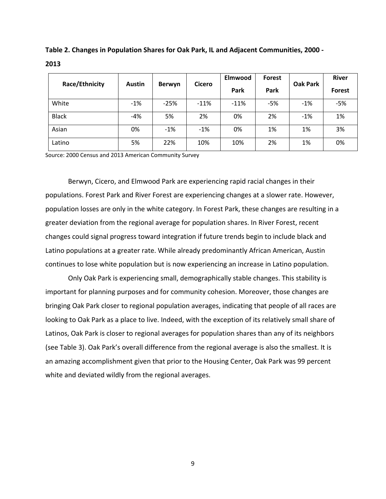| Race/Ethnicity | <b>Austin</b> | <b>Cicero</b><br><b>Berwyn</b> |        | Elmwood | <b>Forest</b><br>Oak Park |       | <b>River</b>  |
|----------------|---------------|--------------------------------|--------|---------|---------------------------|-------|---------------|
|                |               |                                |        | Park    | Park                      |       | <b>Forest</b> |
| White          | $-1%$         | $-25%$                         | $-11%$ | $-11%$  | $-5%$                     | $-1%$ | $-5%$         |
| <b>Black</b>   | $-4%$         | 5%                             | 2%     | 0%      | 2%                        | $-1%$ | 1%            |
| Asian          | 0%            | $-1%$                          | $-1%$  | 0%      | 1%                        | 1%    | 3%            |
| Latino         | 5%            | 22%                            | 10%    | 10%     | 2%                        | 1%    | 0%            |

**Table 2. Changes in Population Shares for Oak Park, IL and Adjacent Communities, 2000 - 2013**

Source: 2000 Census and 2013 American Community Survey

Berwyn, Cicero, and Elmwood Park are experiencing rapid racial changes in their populations. Forest Park and River Forest are experiencing changes at a slower rate. However, population losses are only in the white category. In Forest Park, these changes are resulting in a greater deviation from the regional average for population shares. In River Forest, recent changes could signal progress toward integration if future trends begin to include black and Latino populations at a greater rate. While already predominantly African American, Austin continues to lose white population but is now experiencing an increase in Latino population.

Only Oak Park is experiencing small, demographically stable changes. This stability is important for planning purposes and for community cohesion. Moreover, those changes are bringing Oak Park closer to regional population averages, indicating that people of all races are looking to Oak Park as a place to live. Indeed, with the exception of its relatively small share of Latinos, Oak Park is closer to regional averages for population shares than any of its neighbors (see Table 3). Oak Park's overall difference from the regional average is also the smallest. It is an amazing accomplishment given that prior to the Housing Center, Oak Park was 99 percent white and deviated wildly from the regional averages.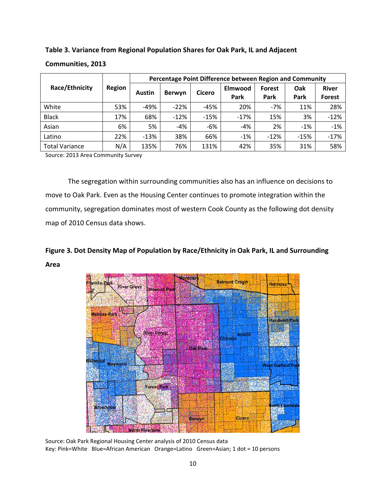**Table 3. Variance from Regional Population Shares for Oak Park, IL and Adjacent** 

|                       | Region | Percentage Point Difference between Region and Community |        |               |                 |                |             |                        |
|-----------------------|--------|----------------------------------------------------------|--------|---------------|-----------------|----------------|-------------|------------------------|
| Race/Ethnicity        |        | <b>Austin</b>                                            | Berwyn | <b>Cicero</b> | Elmwood<br>Park | Forest<br>Park | Oak<br>Park | <b>River</b><br>Forest |
| White                 | 53%    | $-49%$                                                   | $-22%$ | -45%          | 20%             | $-7%$          | 11%         | 28%                    |
| <b>Black</b>          | 17%    | 68%                                                      | $-12%$ | $-15%$        | $-17%$          | 15%            | 3%          | $-12%$                 |
| Asian                 | 6%     | 5%                                                       | $-4%$  | -6%           | $-4%$           | 2%             | $-1%$       | $-1%$                  |
| Latino                | 22%    | $-13%$                                                   | 38%    | 66%           | $-1%$           | $-12%$         | $-15%$      | $-17%$                 |
| <b>Total Variance</b> | N/A    | 135%                                                     | 76%    | 131%          | 42%             | 35%            | 31%         | 58%                    |

# **Communities, 2013**

Source: 2013 Area Community Survey

The segregation within surrounding communities also has an influence on decisions to move to Oak Park. Even as the Housing Center continues to promote integration within the community, segregation dominates most of western Cook County as the following dot density map of 2010 Census data shows.

# **Figure 3. Dot Density Map of Population by Race/Ethnicity in Oak Park, IL and Surrounding Area**



Source: Oak Park Regional Housing Center analysis of 2010 Census data Key: Pink=White Blue=African American Orange=Latino Green=Asian; 1 dot = 10 persons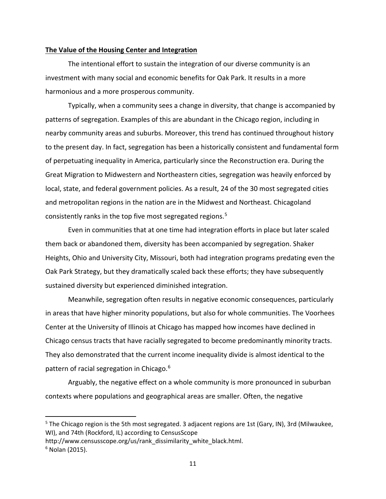# **The Value of the Housing Center and Integration**

The intentional effort to sustain the integration of our diverse community is an investment with many social and economic benefits for Oak Park. It results in a more harmonious and a more prosperous community.

Typically, when a community sees a change in diversity, that change is accompanied by patterns of segregation. Examples of this are abundant in the Chicago region, including in nearby community areas and suburbs. Moreover, this trend has continued throughout history to the present day. In fact, segregation has been a historically consistent and fundamental form of perpetuating inequality in America, particularly since the Reconstruction era. During the Great Migration to Midwestern and Northeastern cities, segregation was heavily enforced by local, state, and federal government policies. As a result, 24 of the 30 most segregated cities and metropolitan regions in the nation are in the Midwest and Northeast. Chicagoland consistently ranks in the top five most segregated regions. [5](#page-12-0)

Even in communities that at one time had integration efforts in place but later scaled them back or abandoned them, diversity has been accompanied by segregation. Shaker Heights, Ohio and University City, Missouri, both had integration programs predating even the Oak Park Strategy, but they dramatically scaled back these efforts; they have subsequently sustained diversity but experienced diminished integration.

Meanwhile, segregation often results in negative economic consequences, particularly in areas that have higher minority populations, but also for whole communities. The Voorhees Center at the University of Illinois at Chicago has mapped how incomes have declined in Chicago census tracts that have racially segregated to become predominantly minority tracts. They also demonstrated that the current income inequality divide is almost identical to the pattern of racial segregation in Chicago. [6](#page-12-1)

Arguably, the negative effect on a whole community is more pronounced in suburban contexts where populations and geographical areas are smaller. Often, the negative

<span id="page-12-0"></span> $5$  The Chicago region is the 5th most segregated. 3 adjacent regions are 1st (Gary, IN), 3rd (Milwaukee, WI), and 74th (Rockford, IL) according to CensusScope

http://www.censusscope.org/us/rank\_dissimilarity\_white\_black.html.

<span id="page-12-1"></span> $6$  Nolan (2015).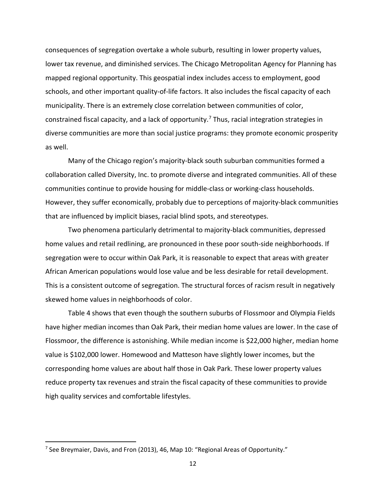consequences of segregation overtake a whole suburb, resulting in lower property values, lower tax revenue, and diminished services. The Chicago Metropolitan Agency for Planning has mapped regional opportunity. This geospatial index includes access to employment, good schools, and other important quality-of-life factors. It also includes the fiscal capacity of each municipality. There is an extremely close correlation between communities of color, constrained fiscal capacity, and a lack of opportunity.<sup>[7](#page-13-0)</sup> Thus, racial integration strategies in diverse communities are more than social justice programs: they promote economic prosperity as well.

Many of the Chicago region's majority-black south suburban communities formed a collaboration called Diversity, Inc. to promote diverse and integrated communities. All of these communities continue to provide housing for middle-class or working-class households. However, they suffer economically, probably due to perceptions of majority-black communities that are influenced by implicit biases, racial blind spots, and stereotypes.

Two phenomena particularly detrimental to majority-black communities, depressed home values and retail redlining, are pronounced in these poor south-side neighborhoods. If segregation were to occur within Oak Park, it is reasonable to expect that areas with greater African American populations would lose value and be less desirable for retail development. This is a consistent outcome of segregation. The structural forces of racism result in negatively skewed home values in neighborhoods of color.

Table 4 shows that even though the southern suburbs of Flossmoor and Olympia Fields have higher median incomes than Oak Park, their median home values are lower. In the case of Flossmoor, the difference is astonishing. While median income is \$22,000 higher, median home value is \$102,000 lower. Homewood and Matteson have slightly lower incomes, but the corresponding home values are about half those in Oak Park. These lower property values reduce property tax revenues and strain the fiscal capacity of these communities to provide high quality services and comfortable lifestyles.

<span id="page-13-0"></span> $7$  See Breymaier, Davis, and Fron (2013), 46, Map 10: "Regional Areas of Opportunity."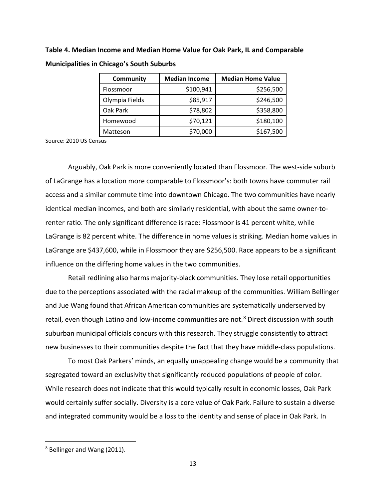**Table 4. Median Income and Median Home Value for Oak Park, IL and Comparable Municipalities in Chicago's South Suburbs**

| <b>Community</b> | <b>Median Income</b> | <b>Median Home Value</b> |
|------------------|----------------------|--------------------------|
| Flossmoor        | \$100,941            | \$256,500                |
| Olympia Fields   | \$85,917             | \$246,500                |
| Oak Park         | \$78,802             | \$358,800                |
| Homewood         | \$70,121             | \$180,100                |
| Matteson         | \$70,000             | \$167,500                |

Source: 2010 US Census

Arguably, Oak Park is more conveniently located than Flossmoor. The west-side suburb of LaGrange has a location more comparable to Flossmoor's: both towns have commuter rail access and a similar commute time into downtown Chicago. The two communities have nearly identical median incomes, and both are similarly residential, with about the same owner-torenter ratio. The only significant difference is race: Flossmoor is 41 percent white, while LaGrange is 82 percent white. The difference in home values is striking. Median home values in LaGrange are \$437,600, while in Flossmoor they are \$256,500. Race appears to be a significant influence on the differing home values in the two communities.

Retail redlining also harms majority-black communities. They lose retail opportunities due to the perceptions associated with the racial makeup of the communities. William Bellinger and Jue Wang found that African American communities are systematically underserved by retail, even though Latino and low-income communities are not.<sup>[8](#page-14-0)</sup> Direct discussion with south suburban municipal officials concurs with this research. They struggle consistently to attract new businesses to their communities despite the fact that they have middle-class populations.

To most Oak Parkers' minds, an equally unappealing change would be a community that segregated toward an exclusivity that significantly reduced populations of people of color. While research does not indicate that this would typically result in economic losses, Oak Park would certainly suffer socially. Diversity is a core value of Oak Park. Failure to sustain a diverse and integrated community would be a loss to the identity and sense of place in Oak Park. In

<span id="page-14-0"></span> <sup>8</sup> Bellinger and Wang (2011).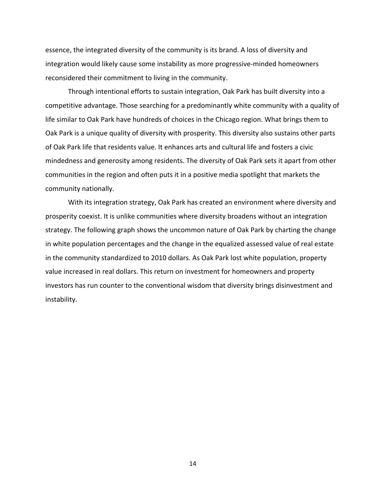essence, the integrated diversity of the community is its brand. A loss of diversity and integration would likely cause some instability as more progressive-minded homeowners reconsidered their commitment to living in the community.

Through intentional efforts to sustain integration, Oak Park has built diversity into a competitive advantage. Those searching for a predominantly white community with a quality of life similar to Oak Park have hundreds of choices in the Chicago region. What brings them to Oak Park is a unique quality of diversity with prosperity. This diversity also sustains other parts of Oak Park life that residents value. It enhances arts and cultural life and fosters a civic mindedness and generosity among residents. The diversity of Oak Park sets it apart from other communities in the region and often puts it in a positive media spotlight that markets the community nationally.

With its integration strategy, Oak Park has created an environment where diversity and prosperity coexist. It is unlike communities where diversity broadens without an integration strategy. The following graph shows the uncommon nature of Oak Park by charting the change in white population percentages and the change in the equalized assessed value of real estate in the community standardized to 2010 dollars. As Oak Park lost white population, property value increased in real dollars. This return on investment for homeowners and property investors has run counter to the conventional wisdom that diversity brings disinvestment and instability.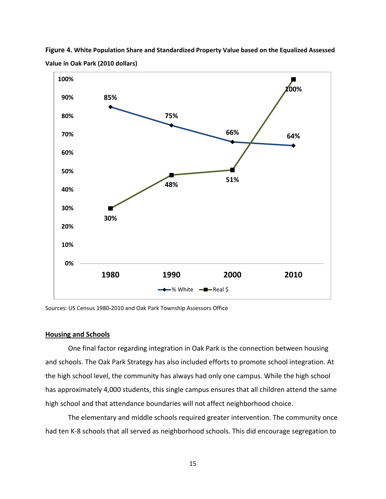

**Figure 4. White Population Share and Standardized Property Value based on the Equalized Assessed Value in Oak Park (2010 dollars)**

Sources: US Census 1980-2010 and Oak Park Township Assessors Office

# **Housing and Schools**

One final factor regarding integration in Oak Park is the connection between housing and schools. The Oak Park Strategy has also included efforts to promote school integration. At the high school level, the community has always had only one campus. While the high school has approximately 4,000 students, this single campus ensures that all children attend the same high school and that attendance boundaries will not affect neighborhood choice.

The elementary and middle schools required greater intervention. The community once had ten K-8 schools that all served as neighborhood schools. This did encourage segregation to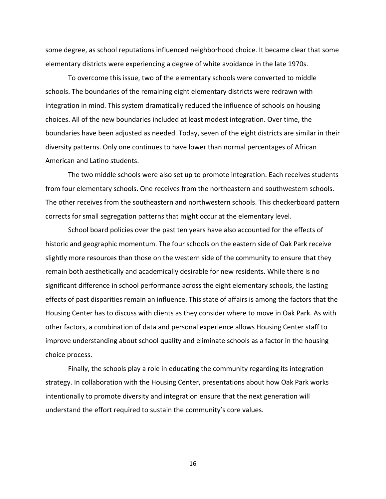some degree, as school reputations influenced neighborhood choice. It became clear that some elementary districts were experiencing a degree of white avoidance in the late 1970s.

To overcome this issue, two of the elementary schools were converted to middle schools. The boundaries of the remaining eight elementary districts were redrawn with integration in mind. This system dramatically reduced the influence of schools on housing choices. All of the new boundaries included at least modest integration. Over time, the boundaries have been adjusted as needed. Today, seven of the eight districts are similar in their diversity patterns. Only one continues to have lower than normal percentages of African American and Latino students.

The two middle schools were also set up to promote integration. Each receives students from four elementary schools. One receives from the northeastern and southwestern schools. The other receives from the southeastern and northwestern schools. This checkerboard pattern corrects for small segregation patterns that might occur at the elementary level.

School board policies over the past ten years have also accounted for the effects of historic and geographic momentum. The four schools on the eastern side of Oak Park receive slightly more resources than those on the western side of the community to ensure that they remain both aesthetically and academically desirable for new residents. While there is no significant difference in school performance across the eight elementary schools, the lasting effects of past disparities remain an influence. This state of affairs is among the factors that the Housing Center has to discuss with clients as they consider where to move in Oak Park. As with other factors, a combination of data and personal experience allows Housing Center staff to improve understanding about school quality and eliminate schools as a factor in the housing choice process.

Finally, the schools play a role in educating the community regarding its integration strategy. In collaboration with the Housing Center, presentations about how Oak Park works intentionally to promote diversity and integration ensure that the next generation will understand the effort required to sustain the community's core values.

16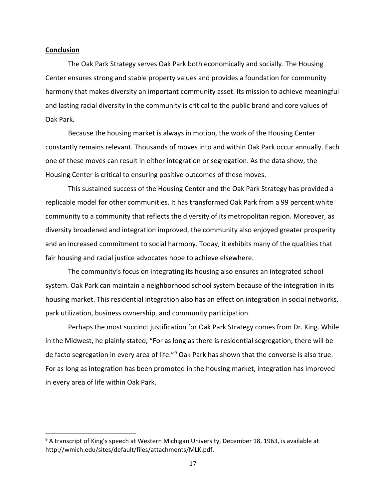# **Conclusion**

The Oak Park Strategy serves Oak Park both economically and socially. The Housing Center ensures strong and stable property values and provides a foundation for community harmony that makes diversity an important community asset. Its mission to achieve meaningful and lasting racial diversity in the community is critical to the public brand and core values of Oak Park.

Because the housing market is always in motion, the work of the Housing Center constantly remains relevant. Thousands of moves into and within Oak Park occur annually. Each one of these moves can result in either integration or segregation. As the data show, the Housing Center is critical to ensuring positive outcomes of these moves.

This sustained success of the Housing Center and the Oak Park Strategy has provided a replicable model for other communities. It has transformed Oak Park from a 99 percent white community to a community that reflects the diversity of its metropolitan region. Moreover, as diversity broadened and integration improved, the community also enjoyed greater prosperity and an increased commitment to social harmony. Today, it exhibits many of the qualities that fair housing and racial justice advocates hope to achieve elsewhere.

The community's focus on integrating its housing also ensures an integrated school system. Oak Park can maintain a neighborhood school system because of the integration in its housing market. This residential integration also has an effect on integration in social networks, park utilization, business ownership, and community participation.

Perhaps the most succinct justification for Oak Park Strategy comes from Dr. King. While in the Midwest, he plainly stated, "For as long as there is residential segregation, there will be de facto segregation in every area of life."<sup>[9](#page-18-0)</sup> Oak Park has shown that the converse is also true. For as long as integration has been promoted in the housing market, integration has improved in every area of life within Oak Park.

<span id="page-18-0"></span><sup>&</sup>lt;sup>9</sup> A transcript of King's speech at Western Michigan University, December 18, 1963, is available at http://wmich.edu/sites/default/files/attachments/MLK.pdf.